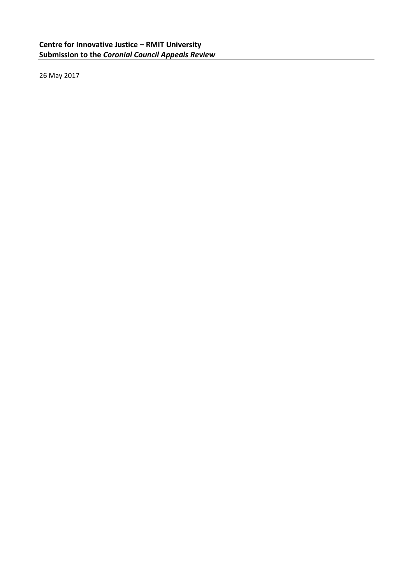26 May 2017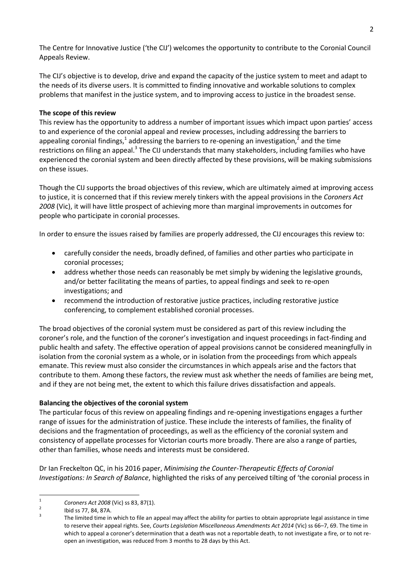The Centre for Innovative Justice ('the CIJ') welcomes the opportunity to contribute to the Coronial Council Appeals Review.

The CIJ's objective is to develop, drive and expand the capacity of the justice system to meet and adapt to the needs of its diverse users. It is committed to finding innovative and workable solutions to complex problems that manifest in the justice system, and to improving access to justice in the broadest sense.

## **The scope of this review**

This review has the opportunity to address a number of important issues which impact upon parties' access to and experience of the coronial appeal and review processes, including addressing the barriers to appealing coronial findings,<sup>1</sup> addressing the barriers to re-opening an investigation,<sup>2</sup> and the time restrictions on filing an appeal.<sup>3</sup> The CIJ understands that many stakeholders, including families who have experienced the coronial system and been directly affected by these provisions, will be making submissions on these issues.

Though the CIJ supports the broad objectives of this review, which are ultimately aimed at improving access to justice, it is concerned that if this review merely tinkers with the appeal provisions in the *Coroners Act 2008* (Vic), it will have little prospect of achieving more than marginal improvements in outcomes for people who participate in coronial processes.

In order to ensure the issues raised by families are properly addressed, the CIJ encourages this review to:

- carefully consider the needs, broadly defined, of families and other parties who participate in coronial processes;
- address whether those needs can reasonably be met simply by widening the legislative grounds, and/or better facilitating the means of parties, to appeal findings and seek to re-open investigations; and
- recommend the introduction of restorative justice practices, including restorative justice conferencing, to complement established coronial processes.

The broad objectives of the coronial system must be considered as part of this review including the coroner's role, and the function of the coroner's investigation and inquest proceedings in fact-finding and public health and safety. The effective operation of appeal provisions cannot be considered meaningfully in isolation from the coronial system as a whole, or in isolation from the proceedings from which appeals emanate. This review must also consider the circumstances in which appeals arise and the factors that contribute to them. Among these factors, the review must ask whether the needs of families are being met, and if they are not being met, the extent to which this failure drives dissatisfaction and appeals.

### **Balancing the objectives of the coronial system**

The particular focus of this review on appealing findings and re-opening investigations engages a further range of issues for the administration of justice. These include the interests of families, the finality of decisions and the fragmentation of proceedings, as well as the efficiency of the coronial system and consistency of appellate processes for Victorian courts more broadly. There are also a range of parties, other than families, whose needs and interests must be considered.

Dr Ian Freckelton QC, in his 2016 paper, *Minimising the Counter-Therapeutic Effects of Coronial Investigations: In Search of Balance*, highlighted the risks of any perceived tilting of 'the coronial process in

 $\frac{1}{1}$ *Coroners Act 2008* (Vic) ss 83, 87(1).

<sup>2</sup> Ibid ss 77, 84, 87A.

<sup>3</sup> The limited time in which to file an appeal may affect the ability for parties to obtain appropriate legal assistance in time to reserve their appeal rights. See, *Courts Legislation Miscellaneous Amendments Act 2014* (Vic) ss 66–7, 69. The time in which to appeal a coroner's determination that a death was not a reportable death, to not investigate a fire, or to not reopen an investigation, was reduced from 3 months to 28 days by this Act.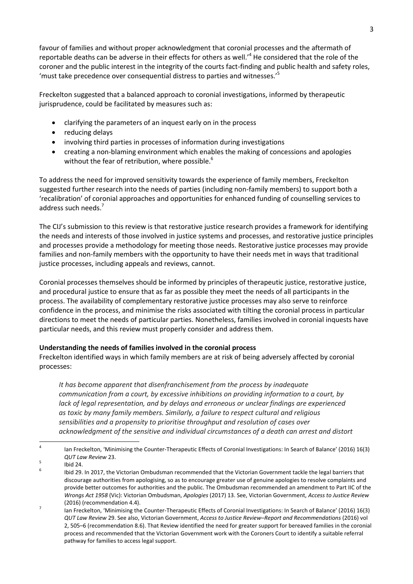favour of families and without proper acknowledgment that coronial processes and the aftermath of reportable deaths can be adverse in their effects for others as well.'<sup>4</sup> He considered that the role of the coroner and the public interest in the integrity of the courts fact-finding and public health and safety roles, 'must take precedence over consequential distress to parties and witnesses.'<sup>5</sup>

Freckelton suggested that a balanced approach to coronial investigations, informed by therapeutic jurisprudence, could be facilitated by measures such as:

- clarifying the parameters of an inquest early on in the process
- reducing delays
- involving third parties in processes of information during investigations
- creating a non-blaming environment which enables the making of concessions and apologies without the fear of retribution, where possible.<sup>6</sup>

To address the need for improved sensitivity towards the experience of family members, Freckelton suggested further research into the needs of parties (including non-family members) to support both a 'recalibration' of coronial approaches and opportunities for enhanced funding of counselling services to address such needs.<sup>7</sup>

The CIJ's submission to this review is that restorative justice research provides a framework for identifying the needs and interests of those involved in justice systems and processes, and restorative justice principles and processes provide a methodology for meeting those needs. Restorative justice processes may provide families and non-family members with the opportunity to have their needs met in ways that traditional justice processes, including appeals and reviews, cannot.

Coronial processes themselves should be informed by principles of therapeutic justice, restorative justice, and procedural justice to ensure that as far as possible they meet the needs of all participants in the process. The availability of complementary restorative justice processes may also serve to reinforce confidence in the process, and minimise the risks associated with tilting the coronial process in particular directions to meet the needs of particular parties. Nonetheless, families involved in coronial inquests have particular needs, and this review must properly consider and address them.

# **Understanding the needs of families involved in the coronial process**

Freckelton identified ways in which family members are at risk of being adversely affected by coronial processes:

*It has become apparent that disenfranchisement from the process by inadequate communication from a court, by excessive inhibitions on providing information to a court, by lack of legal representation, and by delays and erroneous or unclear findings are experienced as toxic by many family members. Similarly, a failure to respect cultural and religious sensibilities and a propensity to prioritise throughput and resolution of cases over acknowledgment of the sensitive and individual circumstances of a death can arrest and distort* 

 $\frac{1}{4}$ Ian Freckelton, 'Minimising the Counter-Therapeutic Effects of Coronial Investigations: In Search of Balance' (2016) 16(3) *QUT Law Review* 23.

<sup>5</sup> Ibid 24.

<sup>6</sup> Ibid 29. In 2017, the Victorian Ombudsman recommended that the Victorian Government tackle the legal barriers that discourage authorities from apologising, so as to encourage greater use of genuine apologies to resolve complaints and provide better outcomes for authorities and the public. The Ombudsman recommended an amendment to Part IIC of the *Wrongs Act 1958* (Vic): Victorian Ombudsman, *Apologies* (2017) 13. See, Victorian Government, *Access to Justice Review* (2016) (recommendation 4.4).

<sup>7</sup> Ian Freckelton, 'Minimising the Counter-Therapeutic Effects of Coronial Investigations: In Search of Balance' (2016) 16(3) *QUT Law Review* 29. See also, Victorian Government, *Access to Justice Review*–*Report and Recommendations* (2016) vol 2, 505–6 (recommendation 8.6). That Review identified the need for greater support for bereaved families in the coronial process and recommended that the Victorian Government work with the Coroners Court to identify a suitable referral pathway for families to access legal support.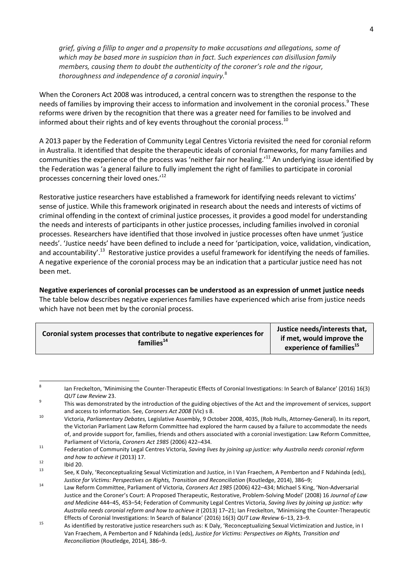*grief, giving a fillip to anger and a propensity to make accusations and allegations, some of which may be based more in suspicion than in fact. Such experiences can disillusion family members, causing them to doubt the authenticity of the coroner's role and the rigour, thoroughness and independence of a coronial inquiry.*<sup>8</sup>

When the Coroners Act 2008 was introduced, a central concern was to strengthen the response to the needs of families by improving their access to information and involvement in the coronial process.<sup>9</sup> These reforms were driven by the recognition that there was a greater need for families to be involved and informed about their rights and of key events throughout the coronial process.<sup>10</sup>

A 2013 paper by the Federation of Community Legal Centres Victoria revisited the need for coronial reform in Australia. It identified that despite the therapeutic ideals of coronial frameworks, for many families and communities the experience of the process was 'neither fair nor healing.'<sup>11</sup> An underlying issue identified by the Federation was 'a general failure to fully implement the right of families to participate in coronial processes concerning their loved ones.'<sup>12</sup>

Restorative justice researchers have established a framework for identifying needs relevant to victims' sense of justice. While this framework originated in research about the needs and interests of victims of criminal offending in the context of criminal justice processes, it provides a good model for understanding the needs and interests of participants in other justice processes, including families involved in coronial processes. Researchers have identified that those involved in justice processes often have unmet 'justice needs'. 'Justice needs' have been defined to include a need for 'participation, voice, validation, vindication, and accountability'.<sup>13</sup> Restorative justice provides a useful framework for identifying the needs of families. A negative experience of the coronial process may be an indication that a particular justice need has not been met.

**Negative experiences of coronial processes can be understood as an expression of unmet justice needs**  The table below describes negative experiences families have experienced which arise from justice needs which have not been met by the coronial process.

| Coronial system processes that contribute to negative experiences for<br>families <sup>14</sup> | Justice needs/interests that,  |
|-------------------------------------------------------------------------------------------------|--------------------------------|
|                                                                                                 | if met, would improve the      |
|                                                                                                 | experience of families $^{15}$ |

<sup>—&</sup>lt;br>8 Ian Freckelton, 'Minimising the Counter-Therapeutic Effects of Coronial Investigations: In Search of Balance' (2016) 16(3) *QUT Law Review* 23.

 $\overline{q}$ This was demonstrated by the introduction of the guiding objectives of the Act and the improvement of services, support and access to information. See, *Coroners Act 2008* (Vic) s 8.

<sup>10</sup> Victoria, *Parliamentary Debates,* Legislative Assembly, 9 October 2008, 4035, (Rob Hulls, Attorney-General). In its report, the Victorian Parliament Law Reform Committee had explored the harm caused by a failure to accommodate the needs of, and provide support for, families, friends and others associated with a coronial investigation: Law Reform Committee, Parliament of Victoria, *Coroners Act 1985* (2006) 422–434.

<sup>11</sup> Federation of Community Legal Centres Victoria, *Saving lives by joining up justice: why Australia needs coronial reform and how to achieve it* (2013) 17.

 $12$  Ibid 20.

See, K Daly, 'Reconceptualizing Sexual Victimization and Justice, in I Van Fraechem, A Pemberton and F Ndahinda (eds), *Justice for Victims: Perspectives on Rights, Transition and Reconciliation* (Routledge, 2014), 386–9;

<sup>14</sup> Law Reform Committee, Parliament of Victoria, *Coroners Act 1985* (2006) 422–434; Michael S King, 'Non-Adversarial Justice and the Coroner's Court: A Proposed Therapeutic, Restorative, Problem-Solving Model' (2008) 16 *Journal of Law and Medicine* 444–45, 453–54; Federation of Community Legal Centres Victoria, *Saving lives by joining up justice: why Australia needs coronial reform and how to achieve it* (2013) 17–21; Ian Freckelton, 'Minimising the Counter-Therapeutic Effects of Coronial Investigations: In Search of Balance' (2016) 16(3) *QUT Law Review* 6–13, 23–9.

<sup>15&</sup>lt;br>As identified by restorative justice researchers such as: K Daly, 'Reconceptualizing Sexual Victimization and Justice, in I Van Fraechem, A Pemberton and F Ndahinda (eds), *Justice for Victims: Perspectives on Rights, Transition and Reconciliation* (Routledge, 2014), 386–9.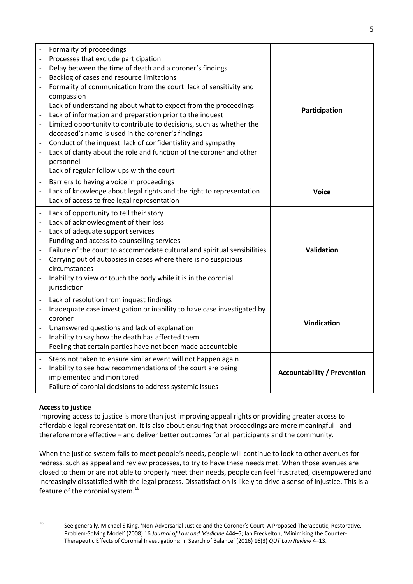| $\blacksquare$<br>$\blacksquare$<br>$\blacksquare$<br>$\blacksquare$<br>$\overline{\phantom{a}}$<br>$\overline{\phantom{a}}$                                         | Formality of proceedings<br>Processes that exclude participation<br>Delay between the time of death and a coroner's findings<br>Backlog of cases and resource limitations<br>Formality of communication from the court: lack of sensitivity and<br>compassion<br>Lack of understanding about what to expect from the proceedings<br>Lack of information and preparation prior to the inquest<br>Limited opportunity to contribute to decisions, such as whether the<br>deceased's name is used in the coroner's findings<br>Conduct of the inquest: lack of confidentiality and sympathy<br>Lack of clarity about the role and function of the coroner and other<br>personnel<br>Lack of regular follow-ups with the court | Participation                      |
|----------------------------------------------------------------------------------------------------------------------------------------------------------------------|----------------------------------------------------------------------------------------------------------------------------------------------------------------------------------------------------------------------------------------------------------------------------------------------------------------------------------------------------------------------------------------------------------------------------------------------------------------------------------------------------------------------------------------------------------------------------------------------------------------------------------------------------------------------------------------------------------------------------|------------------------------------|
| $\overline{\phantom{a}}$<br>$\overline{\phantom{a}}$                                                                                                                 | Barriers to having a voice in proceedings<br>Lack of knowledge about legal rights and the right to representation<br>Lack of access to free legal representation                                                                                                                                                                                                                                                                                                                                                                                                                                                                                                                                                           | <b>Voice</b>                       |
| $\overline{\phantom{a}}$<br>$\overline{\phantom{a}}$<br>$\overline{\phantom{a}}$<br>$\overline{\phantom{a}}$<br>$\overline{\phantom{a}}$<br>$\overline{\phantom{a}}$ | Lack of opportunity to tell their story<br>Lack of acknowledgment of their loss<br>Lack of adequate support services<br>Funding and access to counselling services<br>Failure of the court to accommodate cultural and spiritual sensibilities<br>Carrying out of autopsies in cases where there is no suspicious<br>circumstances<br>Inability to view or touch the body while it is in the coronial<br>jurisdiction                                                                                                                                                                                                                                                                                                      | Validation                         |
| $\qquad \qquad \blacksquare$<br>$\overline{\phantom{a}}$                                                                                                             | Lack of resolution from inquest findings<br>Inadequate case investigation or inability to have case investigated by<br>coroner<br>Unanswered questions and lack of explanation<br>Inability to say how the death has affected them<br>Feeling that certain parties have not been made accountable                                                                                                                                                                                                                                                                                                                                                                                                                          | <b>Vindication</b>                 |
| $\overline{\phantom{a}}$                                                                                                                                             | Steps not taken to ensure similar event will not happen again<br>Inability to see how recommendations of the court are being<br>implemented and monitored<br>Failure of coronial decisions to address systemic issues                                                                                                                                                                                                                                                                                                                                                                                                                                                                                                      | <b>Accountability / Prevention</b> |

# **Access to justice**

Improving access to justice is more than just improving appeal rights or providing greater access to affordable legal representation. It is also about ensuring that proceedings are more meaningful - and therefore more effective – and deliver better outcomes for all participants and the community.

When the justice system fails to meet people's needs, people will continue to look to other avenues for redress, such as appeal and review processes, to try to have these needs met. When those avenues are closed to them or are not able to properly meet their needs, people can feel frustrated, disempowered and increasingly dissatisfied with the legal process. Dissatisfaction is likely to drive a sense of injustice. This is a feature of the coronial system.<sup>16</sup>

 $16$ 

<sup>16</sup> See generally, Michael S King, 'Non-Adversarial Justice and the Coroner's Court: A Proposed Therapeutic, Restorative, Problem-Solving Model' (2008) 16 *Journal of Law and Medicine* 444–5; Ian Freckelton, 'Minimising the Counter-Therapeutic Effects of Coronial Investigations: In Search of Balance' (2016) 16(3) *QUT Law Review* 4–13.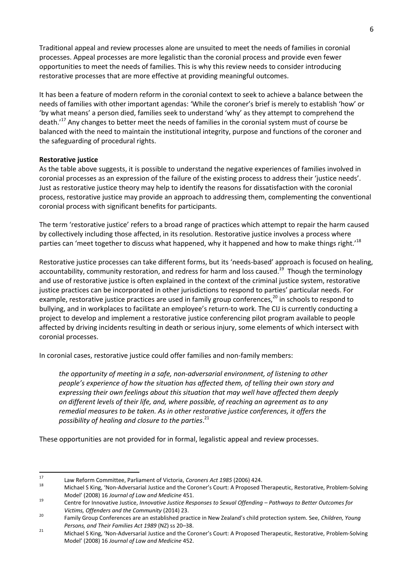Traditional appeal and review processes alone are unsuited to meet the needs of families in coronial processes. Appeal processes are more legalistic than the coronial process and provide even fewer opportunities to meet the needs of families. This is why this review needs to consider introducing restorative processes that are more effective at providing meaningful outcomes.

It has been a feature of modern reform in the coronial context to seek to achieve a balance between the needs of families with other important agendas: 'While the coroner's brief is merely to establish 'how' or 'by what means' a person died, families seek to understand 'why' as they attempt to comprehend the death.<sup>'17</sup> Any changes to better meet the needs of families in the coronial system must of course be balanced with the need to maintain the institutional integrity, purpose and functions of the coroner and the safeguarding of procedural rights.

### **Restorative justice**

As the table above suggests, it is possible to understand the negative experiences of families involved in coronial processes as an expression of the failure of the existing process to address their 'justice needs'. Just as restorative justice theory may help to identify the reasons for dissatisfaction with the coronial process, restorative justice may provide an approach to addressing them, complementing the conventional coronial process with significant benefits for participants.

The term 'restorative justice' refers to a broad range of practices which attempt to repair the harm caused by collectively including those affected, in its resolution. Restorative justice involves a process where parties can 'meet together to discuss what happened, why it happened and how to make things right.<sup>18</sup>

Restorative justice processes can take different forms, but its 'needs-based' approach is focused on healing, accountability, community restoration, and redress for harm and loss caused.<sup>19</sup> Though the terminology and use of restorative justice is often explained in the context of the criminal justice system, restorative justice practices can be incorporated in other jurisdictions to respond to parties' particular needs. For example, restorative justice practices are used in family group conferences, $^{20}$  in schools to respond to bullying, and in workplaces to facilitate an employee's return-to work. The CIJ is currently conducting a project to develop and implement a restorative justice conferencing pilot program available to people affected by driving incidents resulting in death or serious injury, some elements of which intersect with coronial processes.

In coronial cases, restorative justice could offer families and non-family members:

*the opportunity of meeting in a safe, non-adversarial environment, of listening to other people's experience of how the situation has affected them, of telling their own story and expressing their own feelings about this situation that may well have affected them deeply on different levels of their life, and, where possible, of reaching an agreement as to any remedial measures to be taken. As in other restorative justice conferences, it offers the possibility of healing and closure to the parties*. 21

These opportunities are not provided for in formal, legalistic appeal and review processes.

 $17$ <sup>17</sup> Law Reform Committee, Parliament of Victoria, *Coroners Act 1985* (2006) 424.

<sup>18</sup> Michael S King, 'Non-Adversarial Justice and the Coroner's Court: A Proposed Therapeutic, Restorative, Problem-Solving Model' (2008) 16 *Journal of Law and Medicine* 451.

<sup>19</sup> Centre for Innovative Justice, *Innovative Justice Responses to Sexual Offending – Pathways to Better Outcomes for Victims, Offenders and the Community* (2014) 23.

<sup>20</sup> Family Group Conferences are an established practice in New Zealand's child protection system. See, *Children, Young Persons, and Their Families Act 1989* (NZ) ss 20–38.

<sup>21</sup> Michael S King, 'Non-Adversarial Justice and the Coroner's Court: A Proposed Therapeutic, Restorative, Problem-Solving Model' (2008) 16 *Journal of Law and Medicine* 452.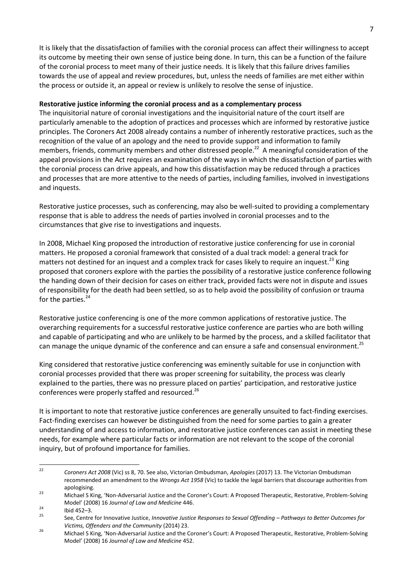It is likely that the dissatisfaction of families with the coronial process can affect their willingness to accept its outcome by meeting their own sense of justice being done. In turn, this can be a function of the failure of the coronial process to meet many of their justice needs. It is likely that this failure drives families towards the use of appeal and review procedures, but, unless the needs of families are met either within the process or outside it, an appeal or review is unlikely to resolve the sense of injustice.

### **Restorative justice informing the coronial process and as a complementary process**

The inquisitorial nature of coronial investigations and the inquisitorial nature of the court itself are particularly amenable to the adoption of practices and processes which are informed by restorative justice principles. The Coroners Act 2008 already contains a number of inherently restorative practices, such as the recognition of the value of an apology and the need to provide support and information to family members, friends, community members and other distressed people.<sup>22</sup> A meaningful consideration of the appeal provisions in the Act requires an examination of the ways in which the dissatisfaction of parties with the coronial process can drive appeals, and how this dissatisfaction may be reduced through a practices and processes that are more attentive to the needs of parties, including families, involved in investigations and inquests.

Restorative justice processes, such as conferencing, may also be well-suited to providing a complementary response that is able to address the needs of parties involved in coronial processes and to the circumstances that give rise to investigations and inquests.

In 2008, Michael King proposed the introduction of restorative justice conferencing for use in coronial matters. He proposed a coronial framework that consisted of a dual track model: a general track for matters not destined for an inquest and a complex track for cases likely to require an inquest.<sup>23</sup> King proposed that coroners explore with the parties the possibility of a restorative justice conference following the handing down of their decision for cases on either track, provided facts were not in dispute and issues of responsibility for the death had been settled, so as to help avoid the possibility of confusion or trauma for the parties.<sup>24</sup>

Restorative justice conferencing is one of the more common applications of restorative justice. The overarching requirements for a successful restorative justice conference are parties who are both willing and capable of participating and who are unlikely to be harmed by the process, and a skilled facilitator that can manage the unique dynamic of the conference and can ensure a safe and consensual environment.<sup>25</sup>

King considered that restorative justice conferencing was eminently suitable for use in conjunction with coronial processes provided that there was proper screening for suitability, the process was clearly explained to the parties, there was no pressure placed on parties' participation, and restorative justice conferences were properly staffed and resourced.<sup>26</sup>

It is important to note that restorative justice conferences are generally unsuited to fact-finding exercises. Fact-finding exercises can however be distinguished from the need for some parties to gain a greater understanding of and access to information, and restorative justice conferences can assist in meeting these needs, for example where particular facts or information are not relevant to the scope of the coronial inquiry, but of profound importance for families.

 $22$ <sup>22</sup> *Coroners Act 2008* (Vic) ss 8, 70. See also, Victorian Ombudsman, *Apologies* (2017) 13. The Victorian Ombudsman recommended an amendment to the *Wrongs Act 1958* (Vic) to tackle the legal barriers that discourage authorities from apologising.

<sup>23</sup> Michael S King, 'Non-Adversarial Justice and the Coroner's Court: A Proposed Therapeutic, Restorative, Problem-Solving Model' (2008) 16 *Journal of Law and Medicine* 446.

 $24$  Ibid 452–3.

<sup>25</sup> See, Centre for Innovative Justice, *Innovative Justice Responses to Sexual Offending – Pathways to Better Outcomes for Victims, Offenders and the Community* (2014) 23.

<sup>26</sup> Michael S King, 'Non-Adversarial Justice and the Coroner's Court: A Proposed Therapeutic, Restorative, Problem-Solving Model' (2008) 16 *Journal of Law and Medicine* 452.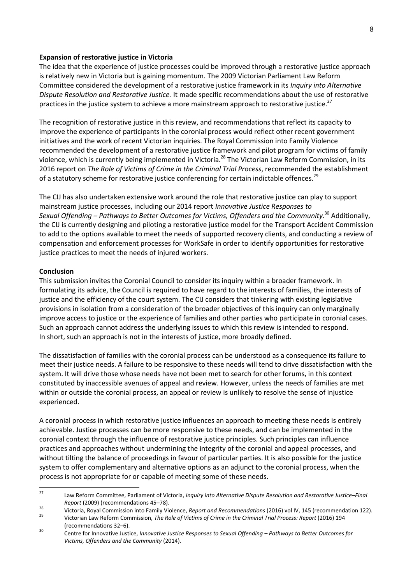#### **Expansion of restorative justice in Victoria**

The idea that the experience of justice processes could be improved through a restorative justice approach is relatively new in Victoria but is gaining momentum. The 2009 Victorian Parliament Law Reform Committee considered the development of a restorative justice framework in its *Inquiry into Alternative Dispute Resolution and Restorative Justice.* It made specific recommendations about the use of restorative practices in the justice system to achieve a more mainstream approach to restorative justice.<sup>27</sup>

The recognition of restorative justice in this review, and recommendations that reflect its capacity to improve the experience of participants in the coronial process would reflect other recent government initiatives and the work of recent Victorian inquiries. The Royal Commission into Family Violence recommended the development of a restorative justice framework and pilot program for victims of family violence, which is currently being implemented in Victoria.<sup>28</sup> The Victorian Law Reform Commission, in its 2016 report on *The Role of Victims of Crime in the Criminal Trial Process*, recommended the establishment of a statutory scheme for restorative justice conferencing for certain indictable offences.<sup>29</sup>

The CIJ has also undertaken extensive work around the role that restorative justice can play to support mainstream justice processes, including our 2014 report *Innovative Justice Responses to Sexual Offending – Pathways to Better Outcomes for Victims, Offenders and the Community*. <sup>30</sup> Additionally, the CIJ is currently designing and piloting a restorative justice model for the Transport Accident Commission to add to the options available to meet the needs of supported recovery clients, and conducting a review of compensation and enforcement processes for WorkSafe in order to identify opportunities for restorative justice practices to meet the needs of injured workers.

#### **Conclusion**

This submission invites the Coronial Council to consider its inquiry within a broader framework. In formulating its advice, the Council is required to have regard to the interests of families, the interests of justice and the efficiency of the court system. The CIJ considers that tinkering with existing legislative provisions in isolation from a consideration of the broader objectives of this inquiry can only marginally improve access to justice or the experience of families and other parties who participate in coronial cases. Such an approach cannot address the underlying issues to which this review is intended to respond. In short, such an approach is not in the interests of justice, more broadly defined.

The dissatisfaction of families with the coronial process can be understood as a consequence its failure to meet their justice needs. A failure to be responsive to these needs will tend to drive dissatisfaction with the system. It will drive those whose needs have not been met to search for other forums, in this context constituted by inaccessible avenues of appeal and review. However, unless the needs of families are met within or outside the coronial process, an appeal or review is unlikely to resolve the sense of injustice experienced.

A coronial process in which restorative justice influences an approach to meeting these needs is entirely achievable. Justice processes can be more responsive to these needs, and can be implemented in the coronial context through the influence of restorative justice principles. Such principles can influence practices and approaches without undermining the integrity of the coronial and appeal processes, and without tilting the balance of proceedings in favour of particular parties. It is also possible for the justice system to offer complementary and alternative options as an adjunct to the coronial process, when the process is not appropriate for or capable of meeting some of these needs.

 $27$ <sup>27</sup> Law Reform Committee, Parliament of Victoria, *Inquiry into Alternative Dispute Resolution and Restorative Justice–Final Report* (2009) (recommendations 45–78).

<sup>28</sup> Victoria, Royal Commission into Family Violence, *Report and Recommendations* (2016) vol IV, 145 (recommendation 122). <sup>29</sup> Victorian Law Reform Commission, *The Role of Victims of Crime in the Criminal Trial Process: Report* (2016) 194

<sup>(</sup>recommendations 32–6). <sup>30</sup> Centre for Innovative Justice, *Innovative Justice Responses to Sexual Offending – Pathways to Better Outcomes for Victims, Offenders and the Community* (2014).